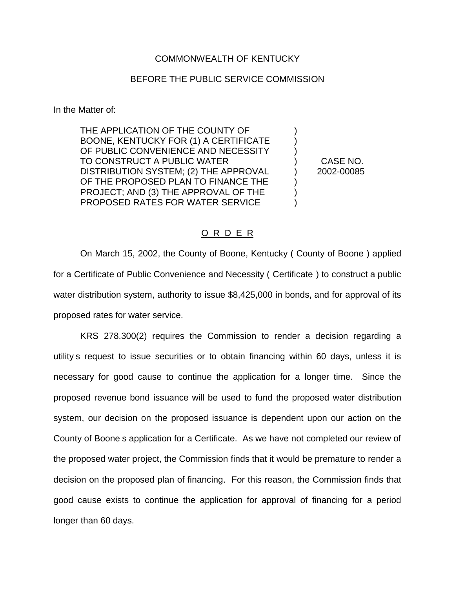## COMMONWEALTH OF KENTUCKY

## BEFORE THE PUBLIC SERVICE COMMISSION

In the Matter of:

THE APPLICATION OF THE COUNTY OF BOONE, KENTUCKY FOR (1) A CERTIFICATE ) OF PUBLIC CONVENIENCE AND NECESSITY TO CONSTRUCT A PUBLIC WATER ) CASE NO. DISTRIBUTION SYSTEM; (2) THE APPROVAL (2) 2002-00085 OF THE PROPOSED PLAN TO FINANCE THE PROJECT; AND (3) THE APPROVAL OF THE  $\qquad \qquad$  ) PROPOSED RATES FOR WATER SERVICE  $\qquad \qquad$ )

## O R D E R

On March 15, 2002, the County of Boone, Kentucky ( County of Boone ) applied for a Certificate of Public Convenience and Necessity ( Certificate ) to construct a public water distribution system, authority to issue \$8,425,000 in bonds, and for approval of its proposed rates for water service.

KRS 278.300(2) requires the Commission to render a decision regarding a utility s request to issue securities or to obtain financing within 60 days, unless it is necessary for good cause to continue the application for a longer time. Since the proposed revenue bond issuance will be used to fund the proposed water distribution system, our decision on the proposed issuance is dependent upon our action on the County of Boone s application for a Certificate. As we have not completed our review of the proposed water project, the Commission finds that it would be premature to render a decision on the proposed plan of financing. For this reason, the Commission finds that good cause exists to continue the application for approval of financing for a period longer than 60 days.